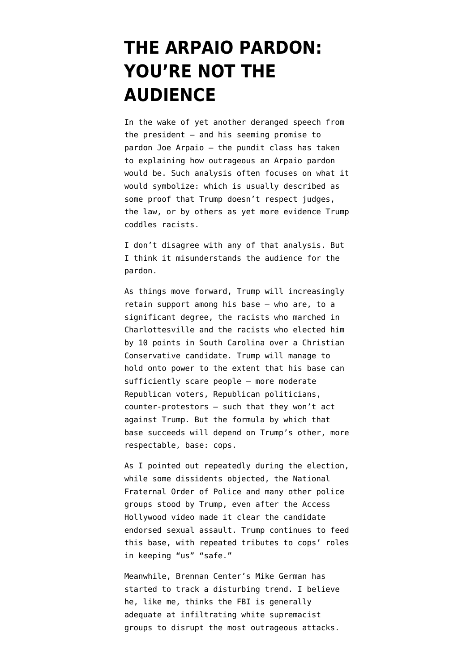## **[THE ARPAIO PARDON:](https://www.emptywheel.net/2017/08/23/the-arpaio-pardon-youre-not-the-audience/) [YOU'RE NOT THE](https://www.emptywheel.net/2017/08/23/the-arpaio-pardon-youre-not-the-audience/) [AUDIENCE](https://www.emptywheel.net/2017/08/23/the-arpaio-pardon-youre-not-the-audience/)**

In the wake of yet another deranged speech from the president — and his seeming promise to pardon Joe Arpaio — the pundit class has taken to explaining how outrageous an Arpaio pardon would be. Such analysis often focuses on what it would symbolize: which is usually described as some proof that Trump doesn't respect judges, the law, or by others as yet more evidence Trump coddles racists.

I don't disagree with any of that analysis. But I think it misunderstands the audience for the pardon.

As things move forward, Trump will increasingly retain support among his base — who are, to a significant degree, the racists who marched in Charlottesville and the racists who elected him by 10 points in South Carolina over a Christian Conservative candidate. Trump will manage to hold onto power to the extent that his base can sufficiently scare people — more moderate Republican voters, Republican politicians, counter-protestors — such that they won't act against Trump. But the formula by which that base succeeds will depend on Trump's other, more respectable, base: cops.

As [I pointed out](https://www.emptywheel.net/2016/10/19/cops-will-stand-grabbing-women-py-not-national-fraternal-order-police/) repeatedly during the election, while some dissidents objected, the National Fraternal Order of Police and many other police groups stood by Trump, even after the Access Hollywood video made it clear the candidate endorsed sexual assault. Trump continues to feed this base, with repeated tributes to cops' roles in keeping "us" "safe."

Meanwhile, Brennan Center's Mike German [has](https://www.thecipherbrief.com/trump-rhetoric-empowers-dangerous-fringe-violence) [started](https://www.thecipherbrief.com/trump-rhetoric-empowers-dangerous-fringe-violence) to track a disturbing trend. I believe he, like me, thinks the FBI is generally adequate at infiltrating white supremacist groups to disrupt the most outrageous attacks.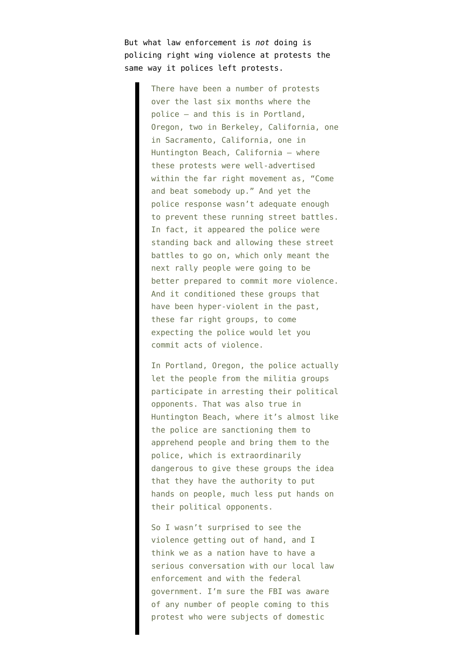But what law enforcement is *not* doing is policing right wing violence at protests the same way it polices left protests.

> There have been a number of protests over the last six months where the police — and this is in Portland, Oregon, two in Berkeley, California, one in Sacramento, California, one in Huntington Beach, California — where these protests were well-advertised within the far right movement as, "Come and beat somebody up." And yet the police response wasn't adequate enough to prevent these running street battles. In fact, it appeared the police were standing back and allowing these street battles to go on, which only meant the next rally people were going to be better prepared to commit more violence. And it conditioned these groups that have been hyper-violent in the past, these far right groups, to come expecting the police would let you commit acts of violence.

> In Portland, Oregon, the police actually let the people from the militia groups participate in arresting their political opponents. That was also true in Huntington Beach, where it's almost like the police are sanctioning them to apprehend people and bring them to the police, which is extraordinarily dangerous to give these groups the idea that they have the authority to put hands on people, much less put hands on their political opponents.

So I wasn't surprised to see the violence getting out of hand, and I think we as a nation have to have a serious conversation with our local law enforcement and with the federal government. I'm sure the FBI was aware of any number of people coming to this protest who were subjects of domestic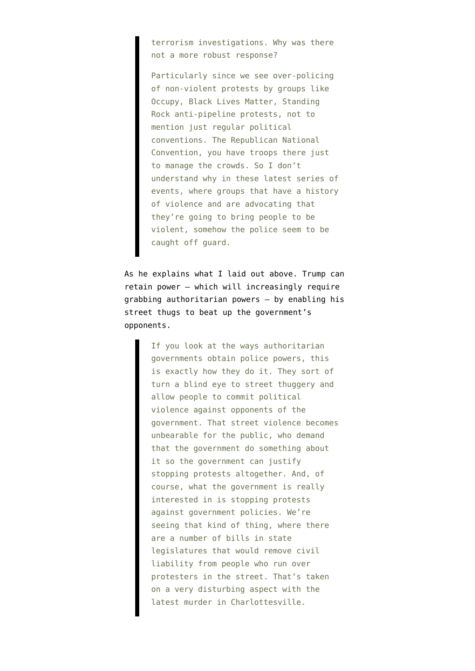terrorism investigations. Why was there not a more robust response?

Particularly since we see over-policing of non-violent protests by groups like Occupy, Black Lives Matter, Standing Rock anti-pipeline protests, not to mention just regular political conventions. The Republican National Convention, you have troops there just to manage the crowds. So I don't understand why in these latest series of events, where groups that have a history of violence and are advocating that they're going to bring people to be violent, somehow the police seem to be caught off guard.

As he explains what I laid out above. Trump can retain power — which will increasingly require grabbing authoritarian powers — by enabling his street thugs to beat up the government's opponents.

> If you look at the ways authoritarian governments obtain police powers, this is exactly how they do it. They sort of turn a blind eye to street thuggery and allow people to commit political violence against opponents of the government. That street violence becomes unbearable for the public, who demand that the government do something about it so the government can justify stopping protests altogether. And, of course, what the government is really interested in is stopping protests against government policies. We're seeing that kind of thing, where there are a number of bills in state legislatures that would remove civil liability from people who run over protesters in the street. That's taken on a very disturbing aspect with the latest murder in Charlottesville.